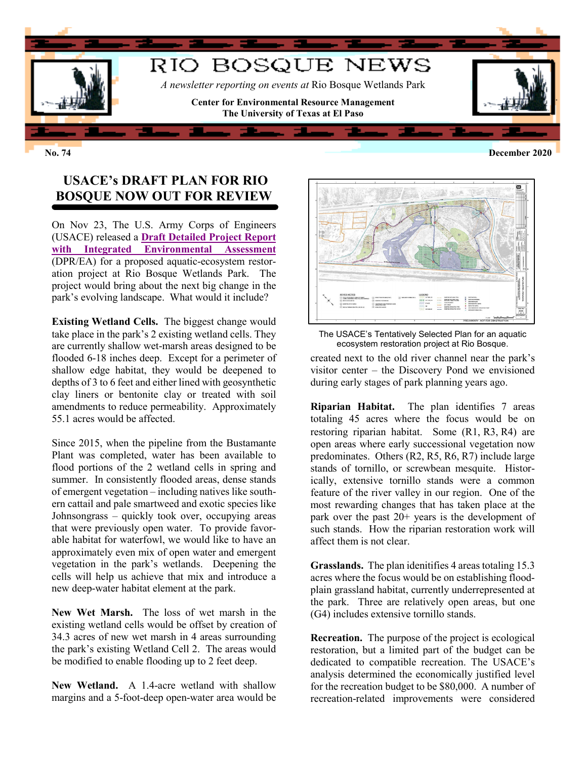

**No. 74 December 2020**

## **USACE's DRAFT PLAN FOR RIO BOSQUE NOW OUT FOR REVIEW**

On Nov 23, The U.S. Army Corps of Engineers (USACE) released a **[Draft Detailed Project Report](https://www.spa.usace.army.mil/Missions/Environmental/Environmental-Compliance-Documents/Environmental-Assessments-FONSI/)  [with Integrated Environmental Assessment](https://www.spa.usace.army.mil/Missions/Environmental/Environmental-Compliance-Documents/Environmental-Assessments-FONSI/)** (DPR/EA) for a proposed aquatic-ecosystem restoration project at Rio Bosque Wetlands Park. The project would bring about the next big change in the park's evolving landscape. What would it include?

**Existing Wetland Cells.** The biggest change would take place in the park's 2 existing wetland cells. They are currently shallow wet-marsh areas designed to be flooded 6-18 inches deep. Except for a perimeter of shallow edge habitat, they would be deepened to depths of 3 to 6 feet and either lined with geosynthetic clay liners or bentonite clay or treated with soil amendments to reduce permeability. Approximately 55.1 acres would be affected.

Since 2015, when the pipeline from the Bustamante Plant was completed, water has been available to flood portions of the 2 wetland cells in spring and summer. In consistently flooded areas, dense stands of emergent vegetation – including natives like southern cattail and pale smartweed and exotic species like Johnsongrass – quickly took over, occupying areas that were previously open water. To provide favorable habitat for waterfowl, we would like to have an approximately even mix of open water and emergent vegetation in the park's wetlands. Deepening the cells will help us achieve that mix and introduce a new deep-water habitat element at the park.

**New Wet Marsh.** The loss of wet marsh in the existing wetland cells would be offset by creation of 34.3 acres of new wet marsh in 4 areas surrounding the park's existing Wetland Cell 2. The areas would be modified to enable flooding up to 2 feet deep.

**New Wetland.** A 1.4-acre wetland with shallow margins and a 5-foot-deep open-water area would be





created next to the old river channel near the park's visitor center – the Discovery Pond we envisioned during early stages of park planning years ago.

**Riparian Habitat.** The plan identifies 7 areas totaling 45 acres where the focus would be on restoring riparian habitat. Some (R1, R3, R4) are open areas where early successional vegetation now predominates. Others (R2, R5, R6, R7) include large stands of tornillo, or screwbean mesquite. Historically, extensive tornillo stands were a common feature of the river valley in our region. One of the most rewarding changes that has taken place at the park over the past 20+ years is the development of such stands. How the riparian restoration work will affect them is not clear.

**Grasslands.** The plan idenitifies 4 areas totaling 15.3 acres where the focus would be on establishing floodplain grassland habitat, currently underrepresented at the park. Three are relatively open areas, but one (G4) includes extensive tornillo stands.

**Recreation.** The purpose of the project is ecological restoration, but a limited part of the budget can be dedicated to compatible recreation. The USACE's analysis determined the economically justified level for the recreation budget to be \$80,000. A number of recreation-related improvements were considered